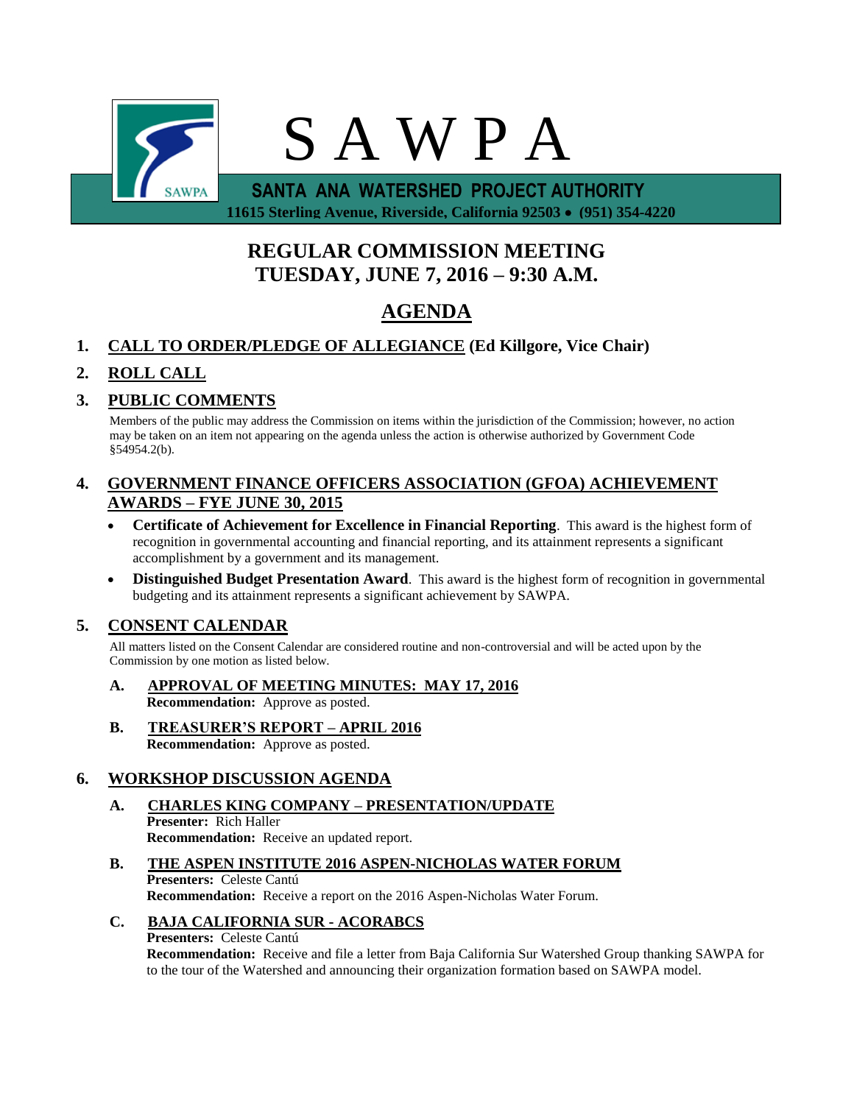

 **11615 Sterling Avenue, Riverside, California 92503 (951) 354-4220**

# **REGULAR COMMISSION MEETING TUESDAY, JUNE 7, 2016 – 9:30 A.M.**

# **AGENDA**

## **1. CALL TO ORDER/PLEDGE OF ALLEGIANCE (Ed Killgore, Vice Chair)**

## **2. ROLL CALL**

### **3. PUBLIC COMMENTS**

Members of the public may address the Commission on items within the jurisdiction of the Commission; however, no action may be taken on an item not appearing on the agenda unless the action is otherwise authorized by Government Code §54954.2(b).

### **4. GOVERNMENT FINANCE OFFICERS ASSOCIATION (GFOA) ACHIEVEMENT AWARDS – FYE JUNE 30, 2015**

- **Certificate of Achievement for Excellence in Financial Reporting**. This award is the highest form of recognition in governmental accounting and financial reporting, and its attainment represents a significant accomplishment by a government and its management.
- **Distinguished Budget Presentation Award**. This award is the highest form of recognition in governmental budgeting and its attainment represents a significant achievement by SAWPA.

### **5. CONSENT CALENDAR**

All matters listed on the Consent Calendar are considered routine and non-controversial and will be acted upon by the Commission by one motion as listed below.

- **A. APPROVAL OF MEETING MINUTES: MAY 17, 2016 Recommendation:** Approve as posted.
- **B. TREASURER'S REPORT – APRIL 2016 Recommendation:** Approve as posted.

## **6. WORKSHOP DISCUSSION AGENDA**

- **A. CHARLES KING COMPANY – PRESENTATION/UPDATE Presenter:** Rich Haller **Recommendation:** Receive an updated report.
- **B. THE ASPEN INSTITUTE 2016 ASPEN-NICHOLAS WATER FORUM Presenters:** Celeste Cantú **Recommendation:** Receive a report on the 2016 Aspen-Nicholas Water Forum.

### **C. BAJA CALIFORNIA SUR - ACORABCS**

#### **Presenters:** Celeste Cantú

**Recommendation:** Receive and file a letter from Baja California Sur Watershed Group thanking SAWPA for to the tour of the Watershed and announcing their organization formation based on SAWPA model.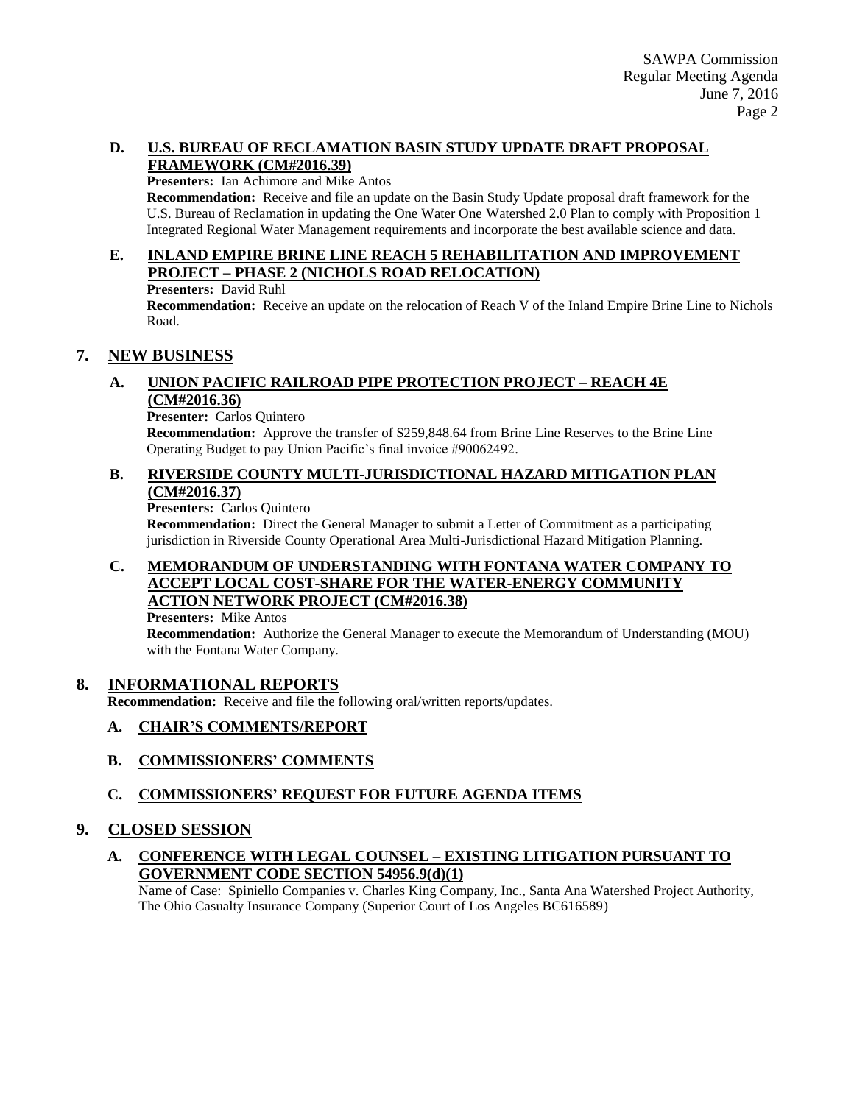#### **D. U.S. BUREAU OF RECLAMATION BASIN STUDY UPDATE DRAFT PROPOSAL FRAMEWORK (CM#2016.39)**

#### **Presenters:** Ian Achimore and Mike Antos

**Recommendation:** Receive and file an update on the Basin Study Update proposal draft framework for the U.S. Bureau of Reclamation in updating the One Water One Watershed 2.0 Plan to comply with Proposition 1 Integrated Regional Water Management requirements and incorporate the best available science and data.

#### **E. INLAND EMPIRE BRINE LINE REACH 5 REHABILITATION AND IMPROVEMENT PROJECT – PHASE 2 (NICHOLS ROAD RELOCATION)**

**Presenters:** David Ruhl

**Recommendation:** Receive an update on the relocation of Reach V of the Inland Empire Brine Line to Nichols Road.

### **7. NEW BUSINESS**

#### **A. UNION PACIFIC RAILROAD PIPE PROTECTION PROJECT – REACH 4E (CM#2016.36)**

#### **Presenter:** Carlos Quintero

**Recommendation:** Approve the transfer of \$259,848.64 from Brine Line Reserves to the Brine Line Operating Budget to pay Union Pacific's final invoice #90062492.

#### **B. RIVERSIDE COUNTY MULTI-JURISDICTIONAL HAZARD MITIGATION PLAN (CM#2016.37)**

**Presenters:** Carlos Quintero

**Recommendation:** Direct the General Manager to submit a Letter of Commitment as a participating jurisdiction in Riverside County Operational Area Multi-Jurisdictional Hazard Mitigation Planning.

#### **C. MEMORANDUM OF UNDERSTANDING WITH FONTANA WATER COMPANY TO ACCEPT LOCAL COST-SHARE FOR THE WATER-ENERGY COMMUNITY ACTION NETWORK PROJECT (CM#2016.38)**

**Presenters:** Mike Antos

**Recommendation:** Authorize the General Manager to execute the Memorandum of Understanding (MOU) with the Fontana Water Company.

#### **8. INFORMATIONAL REPORTS**

**Recommendation:** Receive and file the following oral/written reports/updates.

#### **A. CHAIR'S COMMENTS/REPORT**

#### **B. COMMISSIONERS' COMMENTS**

#### **C. COMMISSIONERS' REQUEST FOR FUTURE AGENDA ITEMS**

#### **9. CLOSED SESSION**

**A. CONFERENCE WITH LEGAL COUNSEL – EXISTING LITIGATION PURSUANT TO GOVERNMENT CODE SECTION 54956.9(d)(1)**

Name of Case: Spiniello Companies v. Charles King Company, Inc., Santa Ana Watershed Project Authority, The Ohio Casualty Insurance Company (Superior Court of Los Angeles BC616589)